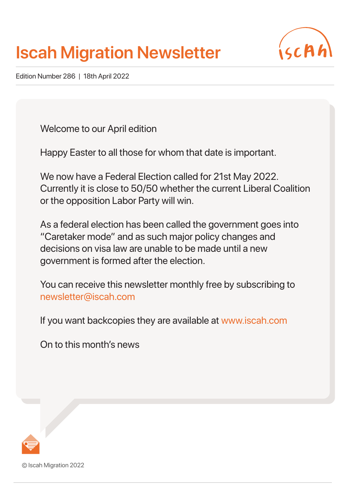# **Iscah Migration Newsletter**



Edition Number 286 | 18th April 2022

Welcome to our April edition

Happy Easter to all those for whom that date is important.

We now have a Federal Election called for 21st May 2022. Currently it is close to 50/50 whether the current Liberal Coalition or the opposition Labor Party will win.

As a federal election has been called the government goes into "Caretaker mode" and as such major policy changes and decisions on visa law are unable to be made until a new government is formed after the election.

You can receive this newsletter monthly free by subscribing to newsletter@iscah.com

If you want backcopies they are available at www.iscah.com

On to this month's news



© Iscah Migration 2022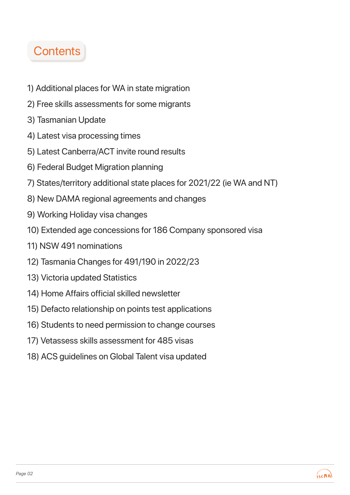# **Contents**

- 1) Additional places for WA in state migration
- 2) Free skills assessments for some migrants
- 3) Tasmanian Update
- 4) Latest visa processing times
- 5) Latest Canberra/ACT invite round results
- 6) Federal Budget Migration planning
- 7) States/territory additional state places for 2021/22 (ie WA and NT)
- 8) New DAMA regional agreements and changes
- 9) Working Holiday visa changes
- 10) Extended age concessions for 186 Company sponsored visa
- 11) NSW 491 nominations
- 12) Tasmania Changes for 491/190 in 2022/23
- 13) Victoria updated Statistics
- 14) Home Affairs official skilled newsletter
- 15) Defacto relationship on points test applications
- 16) Students to need permission to change courses
- 17) Vetassess skills assessment for 485 visas
- 18) ACS guidelines on Global Talent visa updated

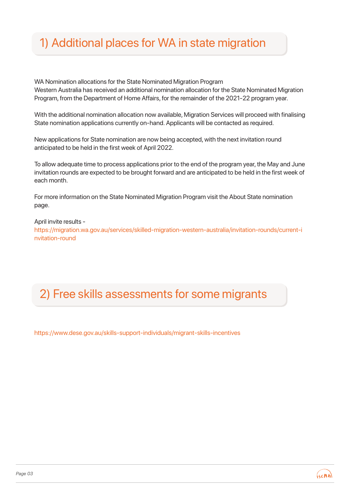# 1) Additional places for WA in state migration

WA Nomination allocations for the State Nominated Migration Program Western Australia has received an additional nomination allocation for the State Nominated Migration Program, from the Department of Home Affairs, for the remainder of the 2021-22 program year.

With the additional nomination allocation now available, Migration Services will proceed with finalising State nomination applications currently on-hand. Applicants will be contacted as required.

New applications for State nomination are now being accepted, with the next invitation round anticipated to be held in the first week of April 2022.

To allow adequate time to process applications prior to the end of the program year, the May and June invitation rounds are expected to be brought forward and are anticipated to be held in the first week of each month.

For more information on the State Nominated Migration Program visit the About State nomination page.

April invite results -

https://migration.wa.gov.au/services/skilled-migration-western-australia/invitation-rounds/current-i nvitation-round

## 2) Free skills assessments for some migrants

https://www.dese.gov.au/skills-support-individuals/migrant-skills-incentives

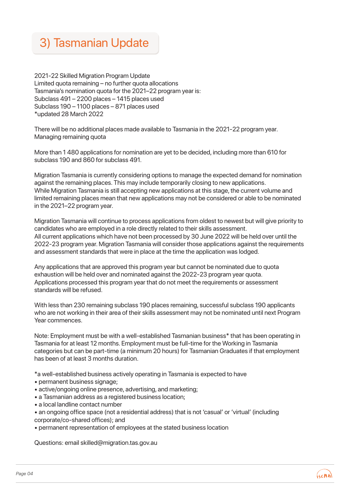

2021-22 Skilled Migration Program Update Limited quota remaining – no further quota allocations Tasmania's nomination quota for the 2021–22 program year is: Subclass 491 – 2200 places – 1415 places used Subclass 190 – 1100 places – 871 places used \*updated 28 March 2022

There will be no additional places made available to Tasmania in the 2021-22 program year. Managing remaining quota

More than 1 480 applications for nomination are yet to be decided, including more than 610 for subclass 190 and 860 for subclass 491.

Migration Tasmania is currently considering options to manage the expected demand for nomination against the remaining places. This may include temporarily closing to new applications. While Migration Tasmania is still accepting new applications at this stage, the current volume and limited remaining places mean that new applications may not be considered or able to be nominated in the 2021–22 program year.

Migration Tasmania will continue to process applications from oldest to newest but will give priority to candidates who are employed in a role directly related to their skills assessment. All current applications which have not been processed by 30 June 2022 will be held over until the 2022-23 program year. Migration Tasmania will consider those applications against the requirements and assessment standards that were in place at the time the application was lodged.

Any applications that are approved this program year but cannot be nominated due to quota exhaustion will be held over and nominated against the 2022-23 program year quota. Applications processed this program year that do not meet the requirements or assessment standards will be refused.

With less than 230 remaining subclass 190 places remaining, successful subclass 190 applicants who are not working in their area of their skills assessment may not be nominated until next Program Year commences.

Note: Employment must be with a well-established Tasmanian business\* that has been operating in Tasmania for at least 12 months. Employment must be full-time for the Working in Tasmania categories but can be part-time (a minimum 20 hours) for Tasmanian Graduates if that employment has been of at least 3 months duration.

\*a well-established business actively operating in Tasmania is expected to have

- permanent business signage;
- active/ongoing online presence, advertising, and marketing;
- a Tasmanian address as a registered business location;
- a local landline contact number
- an ongoing office space (not a residential address) that is not 'casual' or 'virtual' (including corporate/co-shared offices); and
- permanent representation of employees at the stated business location

Questions: email skilled@migration.tas.gov.au

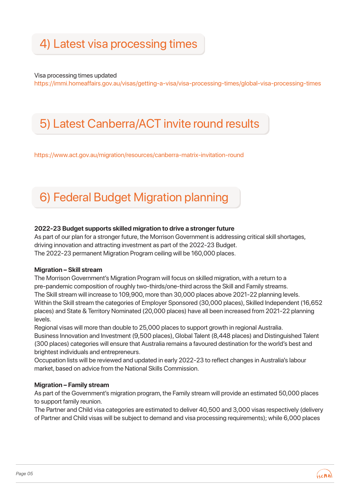# 4) Latest visa processing times

Visa processing times updated

https://immi.homeaffairs.gov.au/visas/getting-a-visa/visa-processing-times/global-visa-processing-times

### 5) Latest Canberra/ACT invite round results

https://www.act.gov.au/migration/resources/canberra-matrix-invitation-round

## 6) Federal Budget Migration planning

#### **2022-23 Budget supports skilled migration to drive a stronger future**

As part of our plan for a stronger future, the Morrison Government is addressing critical skill shortages, driving innovation and attracting investment as part of the 2022-23 Budget. The 2022-23 permanent Migration Program ceiling will be 160,000 places.

#### **Migration – Skill stream**

The Morrison Government's Migration Program will focus on skilled migration, with a return to a pre-pandemic composition of roughly two-thirds/one-third across the Skill and Family streams. The Skill stream will increase to 109,900, more than 30,000 places above 2021-22 planning levels. Within the Skill stream the categories of Employer Sponsored (30,000 places), Skilled Independent (16,652 places) and State & Territory Nominated (20,000 places) have all been increased from 2021-22 planning levels.

Regional visas will more than double to 25,000 places to support growth in regional Australia. Business Innovation and Investment (9,500 places), Global Talent (8,448 places) and Distinguished Talent (300 places) categories will ensure that Australia remains a favoured destination for the world's best and brightest individuals and entrepreneurs.

Occupation lists will be reviewed and updated in early 2022-23 to reflect changes in Australia's labour market, based on advice from the National Skills Commission.

#### **Migration – Family stream**

As part of the Government's migration program, the Family stream will provide an estimated 50,000 places to support family reunion.

The Partner and Child visa categories are estimated to deliver 40,500 and 3,000 visas respectively (delivery of Partner and Child visas will be subject to demand and visa processing requirements); while 6,000 places

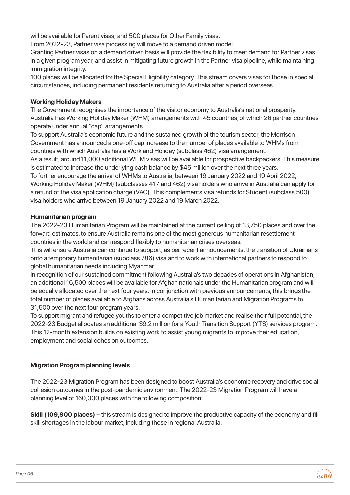will be available for Parent visas; and 500 places for Other Family visas.

From 2022-23, Partner visa processing will move to a demand driven model.

Granting Partner visas on a demand driven basis will provide the flexibility to meet demand for Partner visas in a given program year, and assist in mitigating future growth in the Partner visa pipeline, while maintaining immigration integrity.

100 places will be allocated for the Special Eligibility category. This stream covers visas for those in special circumstances, including permanent residents returning to Australia after a period overseas.

#### **Working Holiday Makers**

The Government recognises the importance of the visitor economy to Australia's national prosperity. Australia has Working Holiday Maker (WHM) arrangements with 45 countries, of which 26 partner countries operate under annual "cap" arrangements.

To support Australia's economic future and the sustained growth of the tourism sector, the Morrison Government has announced a one-off cap increase to the number of places available to WHMs from countries with which Australia has a Work and Holiday (subclass 462) visa arrangement.

As a result, around 11,000 additional WHM visas will be available for prospective backpackers. This measure is estimated to increase the underlying cash balance by \$45 million over the next three years.

To further encourage the arrival of WHMs to Australia, between 19 January 2022 and 19 April 2022, Working Holiday Maker (WHM) (subclasses 417 and 462) visa holders who arrive in Australia can apply for a refund of the visa application charge (VAC). This complements visa refunds for Student (subclass 500) visa holders who arrive between 19 January 2022 and 19 March 2022.

#### **Humanitarian program**

The 2022-23 Humanitarian Program will be maintained at the current ceiling of 13,750 places and over the forward estimates, to ensure Australia remains one of the most generous humanitarian resettlement countries in the world and can respond flexibly to humanitarian crises overseas.

This will ensure Australia can continue to support, as per recent announcements, the transition of Ukrainians onto a temporary humanitarian (subclass 786) visa and to work with international partners to respond to global humanitarian needs including Myanmar.

In recognition of our sustained commitment following Australia's two decades of operations in Afghanistan, an additional 16,500 places will be available for Afghan nationals under the Humanitarian program and will be equally allocated over the next four years. In conjunction with previous announcements, this brings the total number of places available to Afghans across Australia's Humanitarian and Migration Programs to 31,500 over the next four program years.

To support migrant and refugee youths to enter a competitive job market and realise their full potential, the 2022-23 Budget allocates an additional \$9.2 million for a Youth Transition Support (YTS) services program. This 12-month extension builds on existing work to assist young migrants to improve their education, employment and social cohesion outcomes.

#### **Migration Program planning levels**

The 2022-23 Migration Program has been designed to boost Australia's economic recovery and drive social cohesion outcomes in the post-pandemic environment. The 2022-23 Migration Program will have a planning level of 160,000 places with the following composition:

**Skill (109,900 places)** – this stream is designed to improve the productive capacity of the economy and fill skill shortages in the labour market, including those in regional Australia.

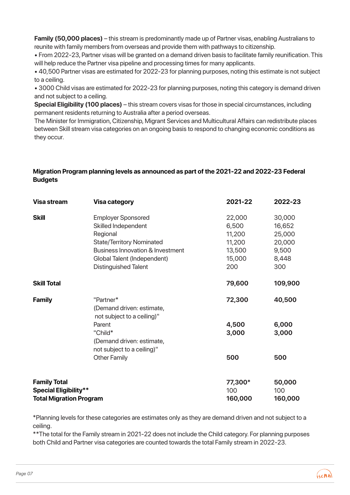**Family (50,000 places)** – this stream is predominantly made up of Partner visas, enabling Australians to reunite with family members from overseas and provide them with pathways to citizenship.

• From 2022-23, Partner visas will be granted on a demand driven basis to facilitate family reunification. This will help reduce the Partner visa pipeline and processing times for many applicants.

• 40,500 Partner visas are estimated for 2022-23 for planning purposes, noting this estimate is not subject to a ceiling.

• 3000 Child visas are estimated for 2022-23 for planning purposes, noting this category is demand driven and not subject to a ceiling.

**Special Eligibility (100 places)** – this stream covers visas for those in special circumstances, including permanent residents returning to Australia after a period overseas.

The Minister for Immigration, Citizenship, Migrant Services and Multicultural Affairs can redistribute places between Skill stream visa categories on an ongoing basis to respond to changing economic conditions as they occur.

#### **Migration Program planning levels as announced as part of the 2021-22 and 2022-23 Federal Budgets**

| <b>Visa stream</b>                                                                    | <b>Visa category</b>                                                                                                                                                                                          | 2021-22                                                        | 2022-23                                                       |
|---------------------------------------------------------------------------------------|---------------------------------------------------------------------------------------------------------------------------------------------------------------------------------------------------------------|----------------------------------------------------------------|---------------------------------------------------------------|
| <b>Skill</b>                                                                          | <b>Employer Sponsored</b><br>Skilled Independent<br>Regional<br><b>State/Territory Nominated</b><br><b>Business Innovation &amp; Investment</b><br>Global Talent (Independent)<br><b>Distinguished Talent</b> | 22,000<br>6,500<br>11,200<br>11,200<br>13,500<br>15,000<br>200 | 30,000<br>16,652<br>25,000<br>20,000<br>9,500<br>8,448<br>300 |
| <b>Skill Total</b>                                                                    |                                                                                                                                                                                                               | 79,600                                                         | 109,900                                                       |
| <b>Family</b>                                                                         | "Partner*<br>(Demand driven: estimate,<br>not subject to a ceiling)"                                                                                                                                          | 72,300                                                         | 40,500                                                        |
|                                                                                       | Parent<br>"Child*<br>(Demand driven: estimate,<br>not subject to a ceiling)"                                                                                                                                  | 4,500<br>3,000                                                 | 6,000<br>3,000                                                |
|                                                                                       | <b>Other Family</b>                                                                                                                                                                                           | 500                                                            | 500                                                           |
| <b>Family Total</b><br><b>Special Eligibility**</b><br><b>Total Migration Program</b> |                                                                                                                                                                                                               | 77,300*<br>100<br>160,000                                      | 50,000<br>100<br>160,000                                      |

\*Planning levels for these categories are estimates only as they are demand driven and not subject to a ceiling.

\*\*The total for the Family stream in 2021-22 does not include the Child category. For planning purposes both Child and Partner visa categories are counted towards the total Family stream in 2022-23.

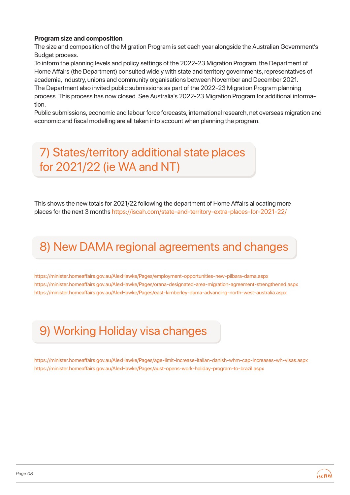#### **Program size and composition**

The size and composition of the Migration Program is set each year alongside the Australian Government's Budget process.

To inform the planning levels and policy settings of the 2022-23 Migration Program, the Department of Home Affairs (the Department) consulted widely with state and territory governments, representatives of academia, industry, unions and community organisations between November and December 2021. The Department also invited public submissions as part of the 2022-23 Migration Program planning process. This process has now closed. See Australia's 2022-23 Migration Program for additional information.

Public submissions, economic and labour force forecasts, international research, net overseas migration and economic and fiscal modelling are all taken into account when planning the program.

### 7) States/territory additional state places for 2021/22 (ie WA and NT)

This shows the new totals for 2021/22 following the department of Home Affairs allocating more places for the next 3 months https://iscah.com/state-and-territory-extra-places-for-2021-22/

### 8) New DAMA regional agreements and changes

https://minister.homeaffairs.gov.au/AlexHawke/Pages/employment-opportunities-new-pilbara-dama.aspx https://minister.homeaffairs.gov.au/AlexHawke/Pages/orana-designated-area-migration-agreement-strengthened.aspx https://minister.homeaffairs.gov.au/AlexHawke/Pages/east-kimberley-dama-advancing-north-west-australia.aspx

# 9) Working Holiday visa changes

https://minister.homeaffairs.gov.au/AlexHawke/Pages/age-limit-increase-italian-danish-whm-cap-increases-wh-visas.aspx https://minister.homeaffairs.gov.au/AlexHawke/Pages/aust-opens-work-holiday-program-to-brazil.aspx

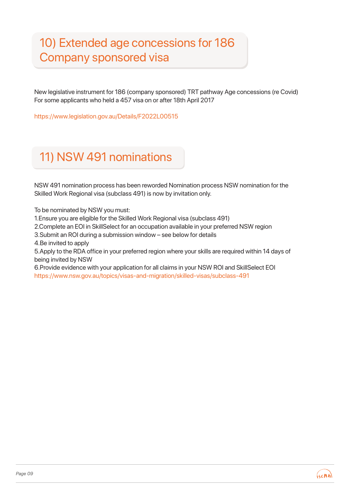# 10) Extended age concessions for 186 Company sponsored visa

New legislative instrument for 186 (company sponsored) TRT pathway Age concessions (re Covid) For some applicants who held a 457 visa on or after 18th April 2017

https://www.legislation.gov.au/Details/F2022L00515

# 11) NSW 491 nominations

NSW 491 nomination process has been reworded Nomination process NSW nomination for the Skilled Work Regional visa (subclass 491) is now by invitation only.

To be nominated by NSW you must:

1.Ensure you are eligible for the Skilled Work Regional visa (subclass 491)

2.Complete an EOI in SkillSelect for an occupation available in your preferred NSW region

3.Submit an ROI during a submission window – see below for details

4.Be invited to apply

5.Apply to the RDA office in your preferred region where your skills are required within 14 days of being invited by NSW

6.Provide evidence with your application for all claims in your NSW ROI and SkillSelect EOI https://www.nsw.gov.au/topics/visas-and-migration/skilled-visas/subclass-491

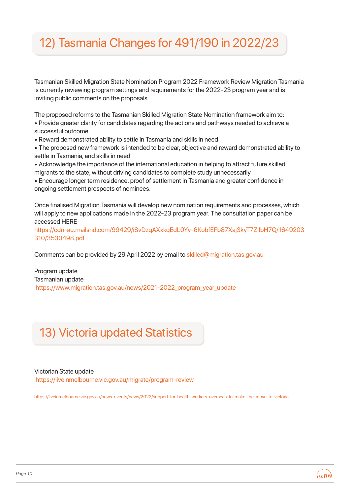# 12) Tasmania Changes for 491/190 in 2022/23

Tasmanian Skilled Migration State Nomination Program 2022 Framework Review Migration Tasmania is currently reviewing program settings and requirements for the 2022-23 program year and is inviting public comments on the proposals.

The proposed reforms to the Tasmanian Skilled Migration State Nomination framework aim to: • Provide greater clarity for candidates regarding the actions and pathways needed to achieve a successful outcome

• Reward demonstrated ability to settle in Tasmania and skills in need

• The proposed new framework is intended to be clear, objective and reward demonstrated ability to settle in Tasmania, and skills in need

• Acknowledge the importance of the international education in helping to attract future skilled migrants to the state, without driving candidates to complete study unnecessarily

• Encourage longer term residence, proof of settlement in Tasmania and greater confidence in ongoing settlement prospects of nominees.

Once finalised Migration Tasmania will develop new nomination requirements and processes, which will apply to new applications made in the 2022-23 program year. The consultation paper can be accessed HERE

https://cdn-au.mailsnd.com/99429/iSvDzqAXxkqEdL0Yv-6KobfEFb87Xaj3kyT7ZiIbH7Q/1649203 310/3530498.pdf

Comments can be provided by 29 April 2022 by email to skilled@migration.tas.gov.au

Program update Tasmanian update https://www.migration.tas.gov.au/news/2021-2022\_program\_year\_update

## 13) Victoria updated Statistics

#### Victorian State update https://liveinmelbourne.vic.gov.au/migrate/program-review

https://liveinmelbourne.vic.gov.au/news-events/news/2022/support-for-health-workers-overseas-to-make-the-move-to-victoria

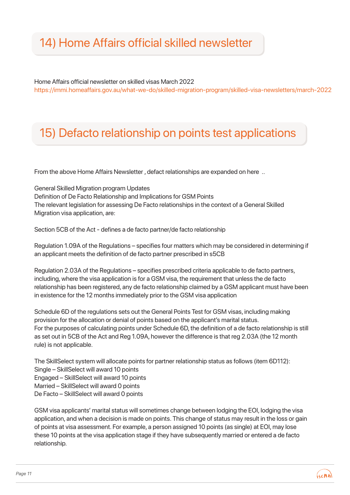## 14) Home Affairs official skilled newsletter

Home Affairs official newsletter on skilled visas March 2022 https://immi.homeaffairs.gov.au/what-we-do/skilled-migration-program/skilled-visa-newsletters/march-2022

### 15) Defacto relationship on points test applications

From the above Home Affairs Newsletter , defact relationships are expanded on here ..

General Skilled Migration program Updates Definition of De Facto Relationship and Implications for GSM Points The relevant legislation for assessing De Facto relationships in the context of a General Skilled Migration visa application, are:

Section 5CB of the Act - defines a de facto partner/de facto relationship

Regulation 1.09A of the Regulations – specifies four matters which may be considered in determining if an applicant meets the definition of de facto partner prescribed in s5CB

Regulation 2.03A of the Regulations – specifies prescribed criteria applicable to de facto partners, including, where the visa application is for a GSM visa, the requirement that unless the de facto relationship has been registered, any de facto relationship claimed by a GSM applicant must have been in existence for the 12 months immediately prior to the GSM visa application

Schedule 6D of the regulations sets out the General Points Test for GSM visas, including making provision for the allocation or denial of points based on the applicant's marital status. For the purposes of calculating points under Schedule 6D, the definition of a de facto relationship is still as set out in 5CB of the Act and Reg 1.09A, however the difference is that reg 2.03A (the 12 month rule) is not applicable.

The SkillSelect system will allocate points for partner relationship status as follows (item 6D112): Single – SkillSelect will award 10 points Engaged – SkillSelect will award 10 points Married – SkillSelect will award 0 points De Facto – SkillSelect will award 0 points

GSM visa applicants' marital status will sometimes change between lodging the EOI, lodging the visa application, and when a decision is made on points. This change of status may result in the loss or gain of points at visa assessment. For example, a person assigned 10 points (as single) at EOI, may lose these 10 points at the visa application stage if they have subsequently married or entered a de facto relationship.

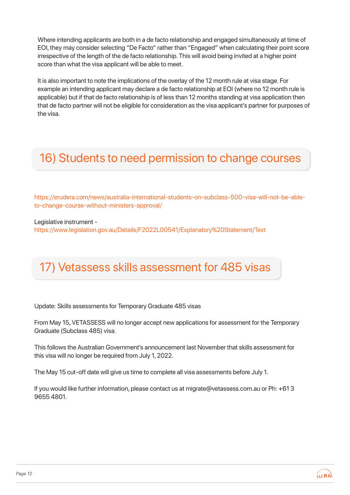Where intending applicants are both in a de facto relationship and engaged simultaneously at time of EOI, they may consider selecting "De Facto" rather than "Engaged" when calculating their point score irrespective of the length of the de facto relationship. This will avoid being invited at a higher point score than what the visa applicant will be able to meet.

It is also important to note the implications of the overlay of the 12 month rule at visa stage. For example an intending applicant may declare a de facto relationship at EOI (where no 12 month rule is applicable) but if that de facto relationship is of less than 12 months standing at visa application then that de facto partner will not be eligible for consideration as the visa applicant's partner for purposes of the visa.

#### 16) Students to need permission to change courses

https://erudera.com/news/australia-international-students-on-subclass-500-visa-will-not-be-ableto-change-course-without-ministers-approval/

Legislative instrument -

https://www.legislation.gov.au/Details/F2022L00541/Explanatory%20Statement/Text

## 17) Vetassess skills assessment for 485 visas

Update: Skills assessments for Temporary Graduate 485 visas

From May 15, VETASSESS will no longer accept new applications for assessment for the Temporary Graduate (Subclass 485) visa.

This follows the Australian Government's announcement last November that skills assessment for this visa will no longer be required from July 1, 2022.

The May 15 cut-off date will give us time to complete all visa assessments before July 1.

If you would like further information, please contact us at migrate@vetassess.com.au or Ph: +61 3 9655 4801.

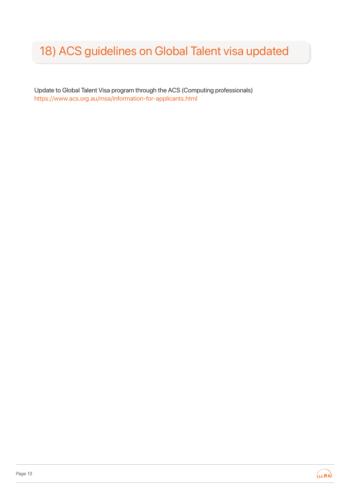# 18) ACS guidelines on Global Talent visa updated

Update to Global Talent Visa program through the ACS (Computing professionals) https://www.acs.org.au/msa/information-for-applicants.html